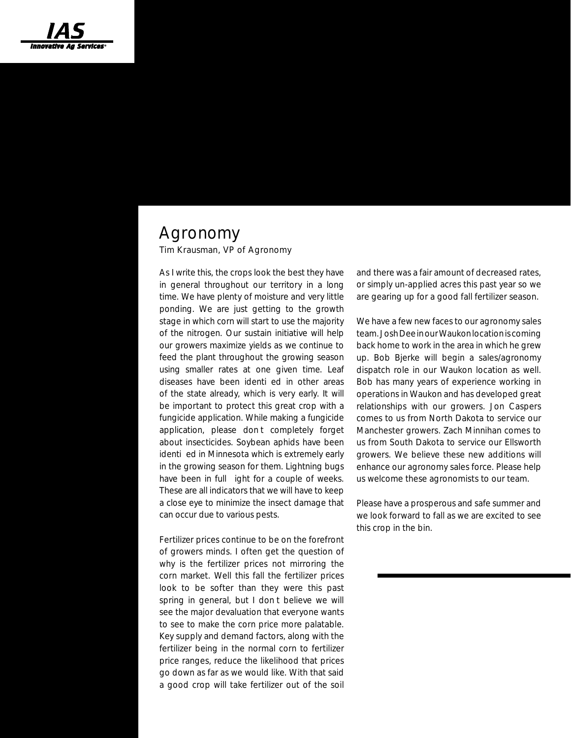# *Ag Biz Briefs* Summer 2015

### Agronomy

Tim Krausman, VP of Agronomy

As I write this, the crops look the best they have in general throughout our territory in a long time. We have plenty of moisture and very little ponding. We are just getting to the growth stage in which corn will start to use the majority of the nitrogen. Our sustain initiative will help our growers maximize yields as we continue to feed the plant throughout the growing season using smaller rates at one given time. Leaf diseases have been identi ed in other areas of the state already, which is very early. It will be important to protect this great crop with a fungicide application. While making a fungicide application, please dont completely forget about insecticides. Soybean aphids have been identi ed in Minnesota which is extremely early in the growing season for them. Lightning bugs have been in full ight for a couple of weeks. These are all indicators that we will have to keep a close eye to minimize the insect damage that can occur due to various pests.

Fertilizer prices continue to be on the forefront of growers minds. I often get the question of why is the fertilizer prices not mirroring the corn market. Well this fall the fertilizer prices look to be softer than they were this past spring in general, but I dont believe we will see the major devaluation that everyone wants to see to make the corn price more palatable. Key supply and demand factors, along with the fertilizer being in the normal corn to fertilizer price ranges, reduce the likelihood that prices go down as far as we would like. With that said a good crop will take fertilizer out of the soil

and there was a fair amount of decreased rates, or simply un-applied acres this past year so we are gearing up for a good fall fertilizer season.

We have a few new faces to our agronomy sales team. Josh Dee in our Waukon location is coming back home to work in the area in which he grew up. Bob Bjerke will begin a sales/agronomy dispatch role in our Waukon location as well. Bob has many years of experience working in operations in Waukon and has developed great relationships with our growers. Jon Caspers comes to us from North Dakota to service our Manchester growers. Zach Minnihan comes to us from South Dakota to service our Ellsworth growers. We believe these new additions will enhance our agronomy sales force. Please help us welcome these agronomists to our team.

Please have a prosperous and safe summer and we look forward to fall as we are excited to see this crop in the bin.

#### IAS Board of Directors

Randy Blake, President Paul Cook, 1st Vice President Steve Perry, 2nd Vice President Loren Manternach, Secretary LeAllan Buerger Tim Burrack Adam Hill Stan Norman Joe Thraenert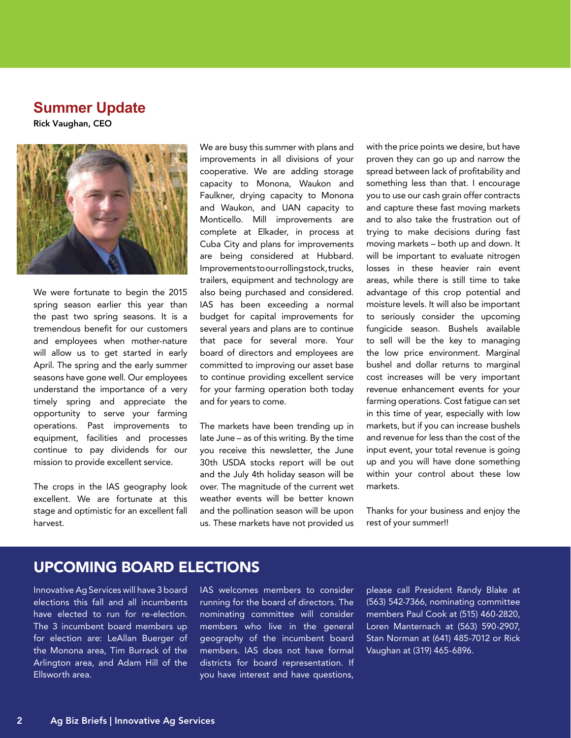#### **Summer Update**

Rick Vaughan, CEO



We were fortunate to begin the 2015 spring season earlier this year than the past two spring seasons. It is a tremendous benefit for our customers and employees when mother-nature will allow us to get started in early April. The spring and the early summer seasons have gone well. Our employees understand the importance of a very timely spring and appreciate the opportunity to serve your farming operations. Past improvements to equipment, facilities and processes continue to pay dividends for our mission to provide excellent service.

The crops in the IAS geography look excellent. We are fortunate at this stage and optimistic for an excellent fall harvest.

We are busy this summer with plans and improvements in all divisions of your cooperative. We are adding storage capacity to Monona, Waukon and Faulkner, drying capacity to Monona and Waukon, and UAN capacity to Monticello. Mill improvements are complete at Elkader, in process at Cuba City and plans for improvements are being considered at Hubbard. Improvements to our rolling stock, trucks, trailers, equipment and technology are also being purchased and considered. IAS has been exceeding a normal budget for capital improvements for several years and plans are to continue that pace for several more. Your board of directors and employees are committed to improving our asset base to continue providing excellent service for your farming operation both today and for years to come.

The markets have been trending up in late June – as of this writing. By the time you receive this newsletter, the June 30th USDA stocks report will be out and the July 4th holiday season will be over. The magnitude of the current wet weather events will be better known and the pollination season will be upon us. These markets have not provided us

with the price points we desire, but have proven they can go up and narrow the spread between lack of profitability and something less than that. I encourage you to use our cash grain offer contracts and capture these fast moving markets and to also take the frustration out of trying to make decisions during fast moving markets – both up and down. It will be important to evaluate nitrogen losses in these heavier rain event areas, while there is still time to take advantage of this crop potential and moisture levels. It will also be important to seriously consider the upcoming fungicide season. Bushels available to sell will be the key to managing the low price environment. Marginal bushel and dollar returns to marginal cost increases will be very important revenue enhancement events for your farming operations. Cost fatigue can set in this time of year, especially with low markets, but if you can increase bushels and revenue for less than the cost of the input event, your total revenue is going up and you will have done something within your control about these low markets.

Thanks for your business and enjoy the rest of your summer!!

#### UPCOMING BOARD ELECTIONS

Innovative Ag Services will have 3 board elections this fall and all incumbents have elected to run for re-election. The 3 incumbent board members up for election are: LeAllan Buerger of the Monona area, Tim Burrack of the Arlington area, and Adam Hill of the Ellsworth area.

IAS welcomes members to consider running for the board of directors. The nominating committee will consider members who live in the general geography of the incumbent board members. IAS does not have formal districts for board representation. If you have interest and have questions,

please call President Randy Blake at (563) 542-7366, nominating committee members Paul Cook at (515) 460-2820, Loren Manternach at (563) 590-2907, Stan Norman at (641) 485-7012 or Rick Vaughan at (319) 465-6896.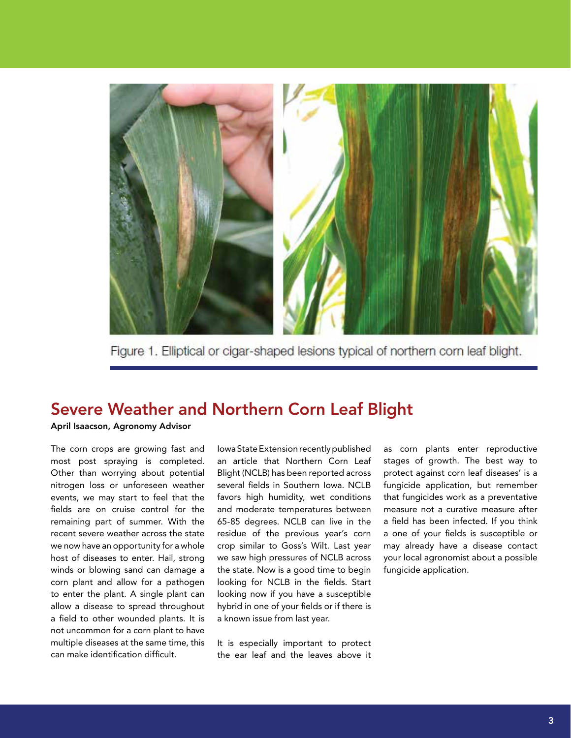

Figure 1. Elliptical or cigar-shaped lesions typical of northern corn leaf blight.

### Severe Weather and Northern Corn Leaf Blight

#### April Isaacson, Agronomy Advisor

The corn crops are growing fast and most post spraying is completed. Other than worrying about potential nitrogen loss or unforeseen weather events, we may start to feel that the fields are on cruise control for the remaining part of summer. With the recent severe weather across the state we now have an opportunity for a whole host of diseases to enter. Hail, strong winds or blowing sand can damage a corn plant and allow for a pathogen to enter the plant. A single plant can allow a disease to spread throughout a field to other wounded plants. It is not uncommon for a corn plant to have multiple diseases at the same time, this can make identification difficult.

Iowa State Extension recently published an article that Northern Corn Leaf Blight (NCLB) has been reported across several fields in Southern Iowa. NCLB favors high humidity, wet conditions and moderate temperatures between 65-85 degrees. NCLB can live in the residue of the previous year's corn crop similar to Goss's Wilt. Last year we saw high pressures of NCLB across the state. Now is a good time to begin looking for NCLB in the fields. Start looking now if you have a susceptible hybrid in one of your fields or if there is a known issue from last year.

It is especially important to protect the ear leaf and the leaves above it

as corn plants enter reproductive stages of growth. The best way to protect against corn leaf diseases' is a fungicide application, but remember that fungicides work as a preventative measure not a curative measure after a field has been infected. If you think a one of your fields is susceptible or may already have a disease contact your local agronomist about a possible fungicide application.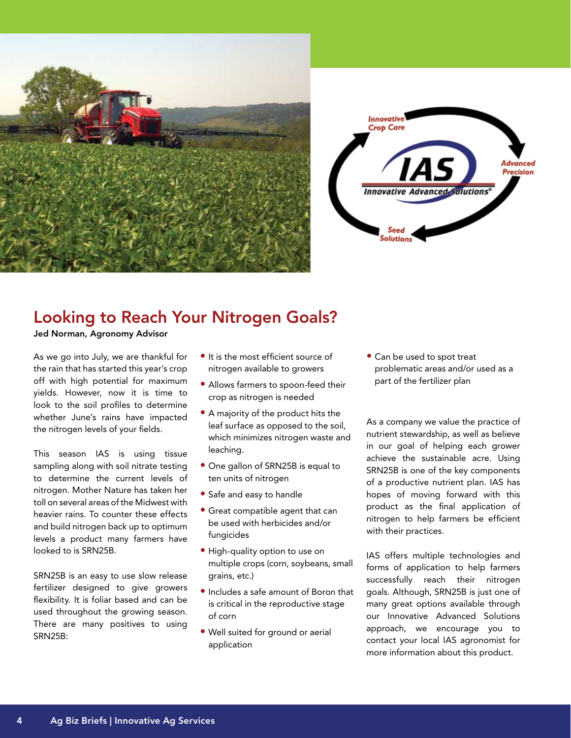



### Looking to Reach Your Nitrogen Goals?

Jed Norman, Agronomy Advisor

As we go into July, we are thankful for the rain that has started this year's crop off with high potential for maximum yields. However, now it is time to look to the soil profiles to determine whether June's rains have impacted the nitrogen levels of your fields.

This season IAS is using tissue sampling along with soil nitrate testing to determine the current levels of nitrogen. Mother Nature has taken her toll on several areas of the Midwest with heavier rains. To counter these effects and build nitrogen back up to optimum levels a product many farmers have looked to is SRN25B.

SRN25B is an easy to use slow release fertilizer designed to give growers flexibility. It is foliar based and can be used throughout the growing season. There are many positives to using SRN25B:

- It is the most efficient source of nitrogen available to growers
- Allows farmers to spoon-feed their crop as nitrogen is needed
- A majority of the product hits the leaf surface as opposed to the soil, which minimizes nitrogen waste and leaching.
- One gallon of SRN25B is equal to ten units of nitrogen
- Safe and easy to handle
- Great compatible agent that can be used with herbicides and/or fungicides
- High-quality option to use on multiple crops (corn, soybeans, small grains, etc.)
- Includes a safe amount of Boron that is critical in the reproductive stage of corn
- Well suited for ground or aerial application

• Can be used to spot treat problematic areas and/or used as a part of the fertilizer plan

As a company we value the practice of nutrient stewardship, as well as believe in our goal of helping each grower achieve the sustainable acre. Using SRN25B is one of the key components of a productive nutrient plan. IAS has hopes of moving forward with this product as the final application of nitrogen to help farmers be efficient with their practices.

IAS offers multiple technologies and forms of application to help farmers successfully reach their nitrogen goals. Although, SRN25B is just one of many great options available through our Innovative Advanced Solutions approach, we encourage you to contact your local IAS agronomist for more information about this product.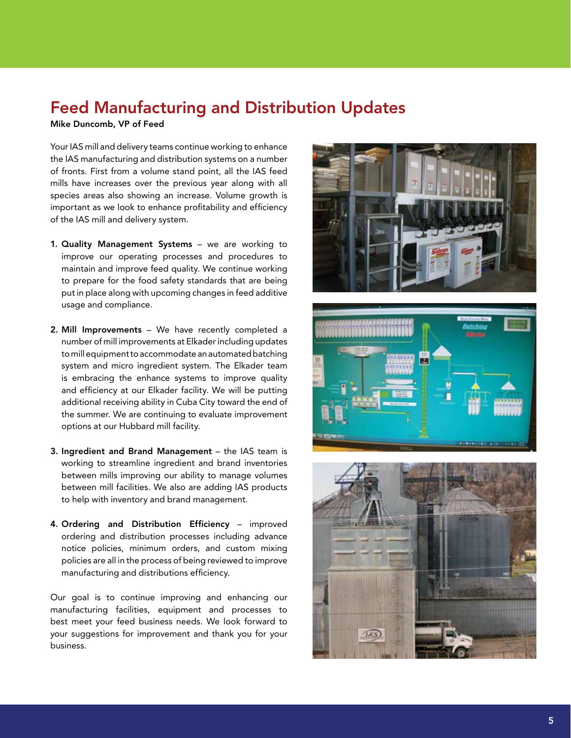### Feed Manufacturing and Distribution Updates

Mike Duncomb, VP of Feed

Your IAS mill and delivery teams continue working to enhance the IAS manufacturing and distribution systems on a number of fronts. First from a volume stand point, all the IAS feed mills have increases over the previous year along with all species areas also showing an increase. Volume growth is important as we look to enhance profitability and efficiency of the IAS mill and delivery system.

- 1. Quality Management Systems we are working to improve our operating processes and procedures to maintain and improve feed quality. We continue working to prepare for the food safety standards that are being put in place along with upcoming changes in feed additive usage and compliance.
- 2. Mill Improvements We have recently completed a number of mill improvements at Elkader including updates to mill equipment to accommodate an automated batching system and micro ingredient system. The Elkader team is embracing the enhance systems to improve quality and efficiency at our Elkader facility. We will be putting additional receiving ability in Cuba City toward the end of the summer. We are continuing to evaluate improvement options at our Hubbard mill facility.
- 3. Ingredient and Brand Management the IAS team is working to streamline ingredient and brand inventories between mills improving our ability to manage volumes between mill facilities. We also are adding IAS products to help with inventory and brand management.
- 4. Ordering and Distribution Efficiency improved ordering and distribution processes including advance notice policies, minimum orders, and custom mixing policies are all in the process of being reviewed to improve manufacturing and distributions efficiency.

Our goal is to continue improving and enhancing our manufacturing facilities, equipment and processes to best meet your feed business needs. We look forward to your suggestions for improvement and thank you for your business.





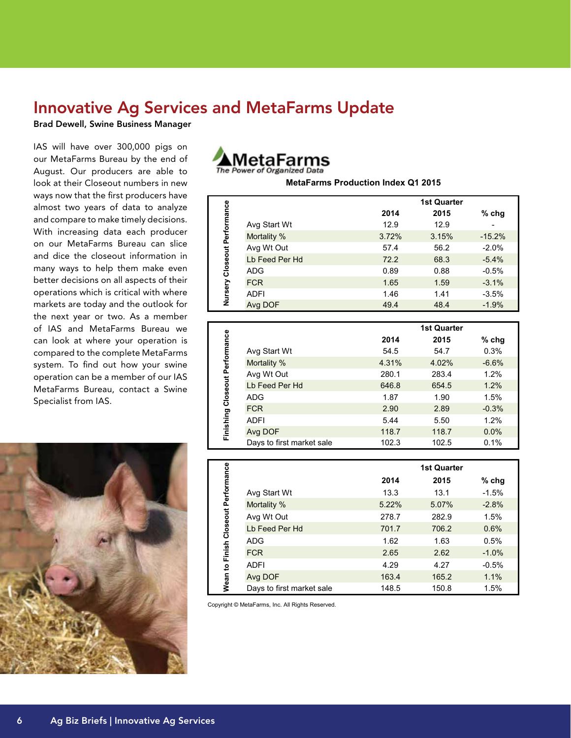### Innovative Ag Services and MetaFarms Update

Brad Dewell, Swine Business Manager

IAS will have over 300,000 pigs on our MetaFarms Bureau by the end of August. Our producers are able to look at their Closeout numbers in new ways now that the first producers have almost two years of data to analyze and compare to make timely decisions. With increasing data each producer on our MetaFarms Bureau can slice and dice the closeout information in many ways to help them make even better decisions on all aspects of their operations which is critical with where markets are today and the outlook for the next year or two. As a member of IAS and MetaFarms Bureau we can look at where your operation is compared to the complete MetaFarms system. To find out how your swine operation can be a member of our IAS MetaFarms Bureau, contact a Swine Specialist from IAS.





**MetaFarms Production Index Q1 2015**

|                      |                |       | <b>1st Quarter</b> |          |
|----------------------|----------------|-------|--------------------|----------|
|                      |                | 2014  | 2015               | $%$ chg  |
| Closeout Performance | Avg Start Wt   | 12.9  | 12.9               |          |
|                      | Mortality %    | 3.72% | 3.15%              | $-15.2%$ |
|                      | Avg Wt Out     | 57.4  | 56.2               | $-2.0%$  |
|                      | Lb Feed Per Hd | 72.2  | 68.3               | $-5.4%$  |
|                      | <b>ADG</b>     | 0.89  | 0.88               | $-0.5%$  |
|                      | <b>FCR</b>     | 1.65  | 1.59               | $-3.1%$  |
| Nursery              | <b>ADFI</b>    | 1.46  | 1.41               | $-3.5%$  |
|                      | Avg DOF        | 49.4  | 48.4               | $-1.9%$  |

|                                |                           |       | <b>1st Quarter</b> |         |
|--------------------------------|---------------------------|-------|--------------------|---------|
|                                |                           | 2014  | 2015               | $%$ chg |
| Finishing Closeout Performance | Avg Start Wt              | 54.5  | 54.7               | 0.3%    |
|                                | Mortality %               | 4.31% | 4.02%              | $-6.6%$ |
|                                | Avg Wt Out                | 280.1 | 283.4              | 1.2%    |
|                                | Lb Feed Per Hd            | 646.8 | 654.5              | 1.2%    |
|                                | <b>ADG</b>                | 1.87  | 1.90               | 1.5%    |
|                                | <b>FCR</b>                | 2.90  | 2.89               | $-0.3%$ |
|                                | <b>ADFI</b>               | 5.44  | 5.50               | 1.2%    |
|                                | Avg DOF                   | 118.7 | 118.7              | 0.0%    |
|                                | Days to first market sale | 102.3 | 102.5              | 0.1%    |

|                                     |                           |       | <b>1st Quarter</b> |         |  |
|-------------------------------------|---------------------------|-------|--------------------|---------|--|
|                                     |                           | 2014  | 2015               | $%$ chg |  |
| Wean to Finish Closeout Performance | Avg Start Wt              | 13.3  | 13.1               | $-1.5%$ |  |
|                                     | Mortality %               | 5.22% | 5.07%              | $-2.8%$ |  |
|                                     | Avg Wt Out                | 278.7 | 282.9              | 1.5%    |  |
|                                     | Lb Feed Per Hd            | 701.7 | 706.2              | 0.6%    |  |
|                                     | <b>ADG</b>                | 1.62  | 1.63               | 0.5%    |  |
|                                     | <b>FCR</b>                | 2.65  | 2.62               | $-1.0%$ |  |
|                                     | ADFI                      | 4.29  | 4.27               | $-0.5%$ |  |
|                                     | Avg DOF                   | 163.4 | 165.2              | 1.1%    |  |
|                                     | Days to first market sale | 148.5 | 150.8              | 1.5%    |  |

Copyright © MetaFarms, Inc. All Rights Reserved.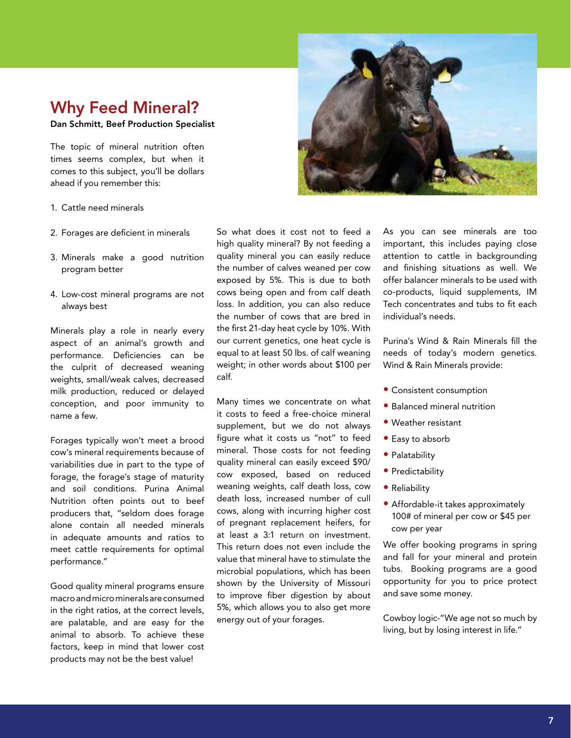### Why Feed Mineral?

Dan Schmitt, Beef Production Specialist

The topic of mineral nutrition often times seems complex, but when it comes to this subject, you'll be dollars ahead if you remember this:



- 1. Cattle need minerals
- 2. Forages are deficient in minerals
- 3. Minerals make a good nutrition program better
- 4. Low-cost mineral programs are not always best

Minerals play a role in nearly every aspect of an animal's growth and performance. Deficiencies can be the culprit of decreased weaning weights, small/weak calves, decreased milk production, reduced or delayed conception, and poor immunity to name a few.

Forages typically won't meet a brood cow's mineral requirements because of variabilities due in part to the type of forage, the forage's stage of maturity and soil conditions. Purina Animal Nutrition often points out to beef producers that, "seldom does forage alone contain all needed minerals in adequate amounts and ratios to meet cattle requirements for optimal performance."

Good quality mineral programs ensure macro and micro minerals are consumed in the right ratios, at the correct levels, are palatable, and are easy for the animal to absorb. To achieve these factors, keep in mind that lower cost products may not be the best value!

So what does it cost not to feed a high quality mineral? By not feeding a quality mineral you can easily reduce the number of calves weaned per cow exposed by 5%. This is due to both cows being open and from calf death loss. In addition, you can also reduce the number of cows that are bred in the first 21-day heat cycle by 10%. With our current genetics, one heat cycle is equal to at least 50 lbs. of calf weaning weight; in other words about \$100 per calf.

Many times we concentrate on what it costs to feed a free-choice mineral supplement, but we do not always figure what it costs us "not" to feed mineral. Those costs for not feeding quality mineral can easily exceed \$90/ cow exposed, based on reduced weaning weights, calf death loss, cow death loss, increased number of cull cows, along with incurring higher cost of pregnant replacement heifers, for at least a 3:1 return on investment. This return does not even include the value that mineral have to stimulate the microbial populations, which has been shown by the University of Missouri to improve fiber digestion by about 5%, which allows you to also get more energy out of your forages.

As you can see minerals are too important, this includes paying close attention to cattle in backgrounding and finishing situations as well. We offer balancer minerals to be used with co-products, liquid supplements, IM Tech concentrates and tubs to fit each individual's needs.

Purina's Wind & Rain Minerals fill the needs of today's modern genetics. Wind & Rain Minerals provide:

- Consistent consumption
- Balanced mineral nutrition
- Weather resistant
- Easy to absorb
- Palatability
- Predictability
- Reliability
- Affordable-it takes approximately 100# of mineral per cow or \$45 per cow per year

We offer booking programs in spring and fall for your mineral and protein tubs. Booking programs are a good opportunity for you to price protect and save some money.

Cowboy logic-"We age not so much by living, but by losing interest in life."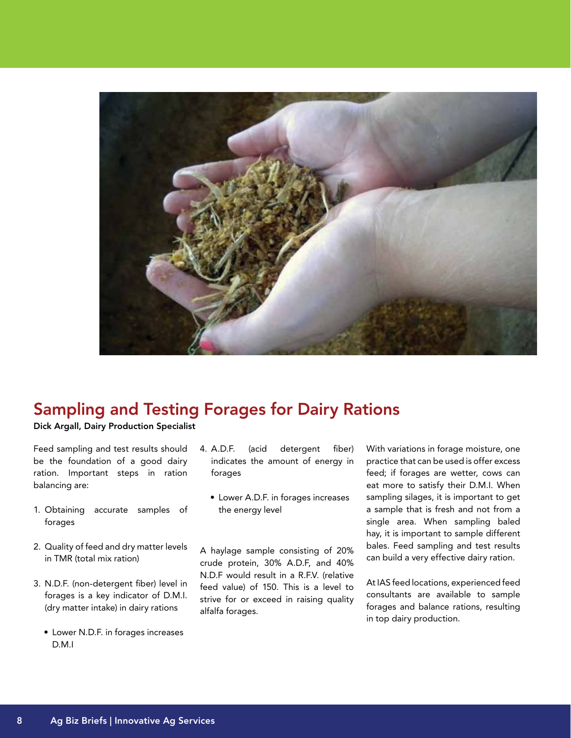

### Sampling and Testing Forages for Dairy Rations

Dick Argall, Dairy Production Specialist

Feed sampling and test results should be the foundation of a good dairy ration. Important steps in ration balancing are:

- 1. Obtaining accurate samples of forages
- 2. Quality of feed and dry matter levels in TMR (total mix ration)
- 3. N.D.F. (non-detergent fiber) level in forages is a key indicator of D.M.I. (dry matter intake) in dairy rations
	- Lower N.D.F. in forages increases D.M.I
- 4. A.D.F. (acid detergent fiber) indicates the amount of energy in forages
	- Lower A.D.F. in forages increases the energy level

A haylage sample consisting of 20% crude protein, 30% A.D.F, and 40% N.D.F would result in a R.F.V. (relative feed value) of 150. This is a level to strive for or exceed in raising quality alfalfa forages.

With variations in forage moisture, one practice that can be used is offer excess feed; if forages are wetter, cows can eat more to satisfy their D.M.I. When sampling silages, it is important to get a sample that is fresh and not from a single area. When sampling baled hay, it is important to sample different bales. Feed sampling and test results can build a very effective dairy ration.

At IAS feed locations, experienced feed consultants are available to sample forages and balance rations, resulting in top dairy production.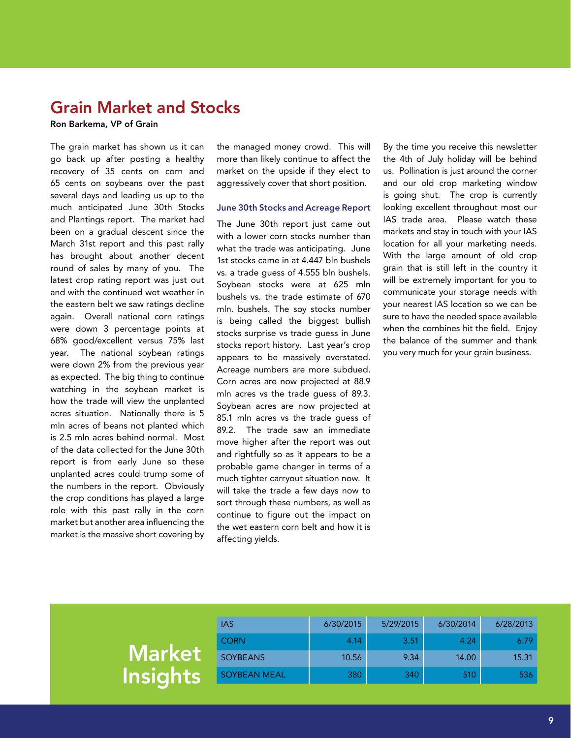### Grain Market and Stocks

Ron Barkema, VP of Grain

The grain market has shown us it can go back up after posting a healthy recovery of 35 cents on corn and 65 cents on soybeans over the past several days and leading us up to the much anticipated June 30th Stocks and Plantings report. The market had been on a gradual descent since the March 31st report and this past rally has brought about another decent round of sales by many of you. The latest crop rating report was just out and with the continued wet weather in the eastern belt we saw ratings decline again. Overall national corn ratings were down 3 percentage points at 68% good/excellent versus 75% last year. The national soybean ratings were down 2% from the previous year as expected. The big thing to continue watching in the soybean market is how the trade will view the unplanted acres situation. Nationally there is 5 mln acres of beans not planted which is 2.5 mln acres behind normal. Most of the data collected for the June 30th report is from early June so these unplanted acres could trump some of the numbers in the report. Obviously the crop conditions has played a large role with this past rally in the corn market but another area influencing the market is the massive short covering by

the managed money crowd. This will more than likely continue to affect the market on the upside if they elect to aggressively cover that short position.

#### June 30th Stocks and Acreage Report

The June 30th report just came out with a lower corn stocks number than what the trade was anticipating. June 1st stocks came in at 4.447 bln bushels vs. a trade guess of 4.555 bln bushels. Soybean stocks were at 625 mln bushels vs. the trade estimate of 670 mln. bushels. The soy stocks number is being called the biggest bullish stocks surprise vs trade guess in June stocks report history. Last year's crop appears to be massively overstated. Acreage numbers are more subdued. Corn acres are now projected at 88.9 mln acres vs the trade guess of 89.3. Soybean acres are now projected at 85.1 mln acres vs the trade guess of 89.2. The trade saw an immediate move higher after the report was out and rightfully so as it appears to be a probable game changer in terms of a much tighter carryout situation now. It will take the trade a few days now to sort through these numbers, as well as continue to figure out the impact on the wet eastern corn belt and how it is affecting yields.

By the time you receive this newsletter the 4th of July holiday will be behind us. Pollination is just around the corner and our old crop marketing window is going shut. The crop is currently looking excellent throughout most our IAS trade area. Please watch these markets and stay in touch with your IAS location for all your marketing needs. With the large amount of old crop grain that is still left in the country it will be extremely important for you to communicate your storage needs with your nearest IAS location so we can be sure to have the needed space available when the combines hit the field. Enjoy the balance of the summer and thank you very much for your grain business.

|                 | IAS             | 6/30/2015 | 5/29/2015 | 6/30/2014 | 6/28/2013 |
|-----------------|-----------------|-----------|-----------|-----------|-----------|
|                 | <b>CORN</b>     | 4.14      | 3.51      | 4.24'     | 6.79      |
| <b>Market</b>   | <b>SOYBEANS</b> | 10.56     | 9.34      | 14.00     | 15.31     |
| <b>Insights</b> | SOYBEAN MEAL    | 380       | 340       | 510       | 536       |
|                 |                 |           |           |           |           |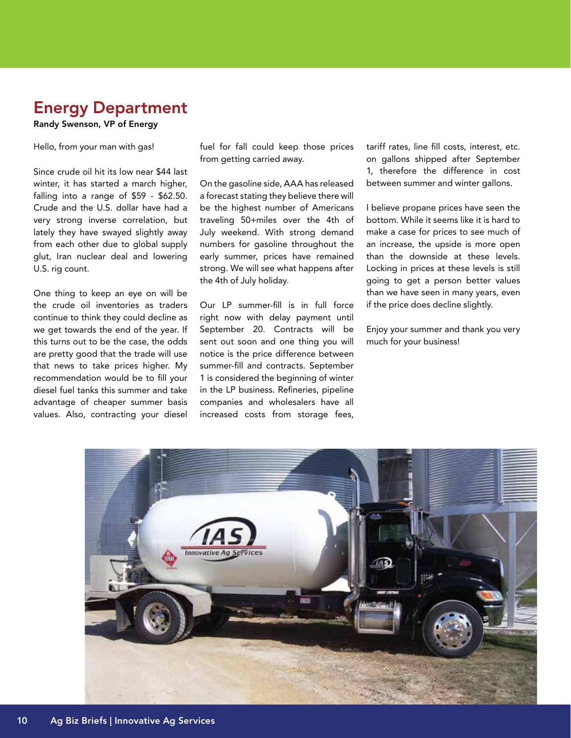### Energy Department

#### Randy Swenson, VP of Energy

Hello, from your man with gas!

Since crude oil hit its low near \$44 last winter, it has started a march higher, falling into a range of \$59 - \$62.50. Crude and the U.S. dollar have had a very strong inverse correlation, but lately they have swayed slightly away from each other due to global supply glut, Iran nuclear deal and lowering U.S. rig count.

One thing to keep an eye on will be the crude oil inventories as traders continue to think they could decline as we get towards the end of the year. If this turns out to be the case, the odds are pretty good that the trade will use that news to take prices higher. My recommendation would be to fill your diesel fuel tanks this summer and take advantage of cheaper summer basis values. Also, contracting your diesel

fuel for fall could keep those prices from getting carried away.

On the gasoline side, AAA has released a forecast stating they believe there will be the highest number of Americans traveling 50+miles over the 4th of July weekend. With strong demand numbers for gasoline throughout the early summer, prices have remained strong. We will see what happens after the 4th of July holiday.

Our LP summer-fill is in full force right now with delay payment until September 20. Contracts will be sent out soon and one thing you will notice is the price difference between summer-fill and contracts. September 1 is considered the beginning of winter in the LP business. Refineries, pipeline companies and wholesalers have all increased costs from storage fees,

tariff rates, line fill costs, interest, etc. on gallons shipped after September 1, therefore the difference in cost between summer and winter gallons.

I believe propane prices have seen the bottom. While it seems like it is hard to make a case for prices to see much of an increase, the upside is more open than the downside at these levels. Locking in prices at these levels is still going to get a person better values than we have seen in many years, even if the price does decline slightly.

Enjoy your summer and thank you very much for your business!

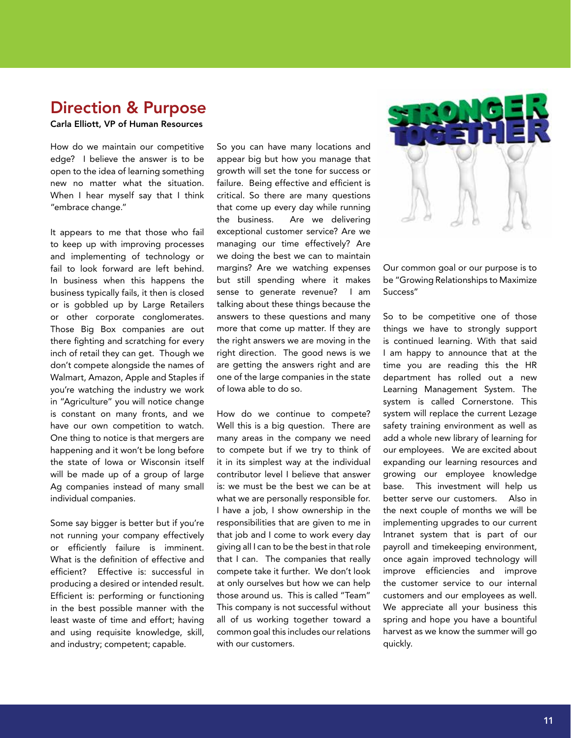### Direction & Purpose

#### Carla Elliott, VP of Human Resources

How do we maintain our competitive edge? I believe the answer is to be open to the idea of learning something new no matter what the situation. When I hear myself say that I think "embrace change."

It appears to me that those who fail to keep up with improving processes and implementing of technology or fail to look forward are left behind. In business when this happens the business typically fails, it then is closed or is gobbled up by Large Retailers or other corporate conglomerates. Those Big Box companies are out there fighting and scratching for every inch of retail they can get. Though we don't compete alongside the names of Walmart, Amazon, Apple and Staples if you're watching the industry we work in "Agriculture" you will notice change is constant on many fronts, and we have our own competition to watch. One thing to notice is that mergers are happening and it won't be long before the state of Iowa or Wisconsin itself will be made up of a group of large Ag companies instead of many small individual companies.

Some say bigger is better but if you're not running your company effectively or efficiently failure is imminent. What is the definition of effective and efficient? Effective is: successful in producing a desired or intended result. Efficient is: performing or functioning in the best possible manner with the least waste of time and effort; having and using requisite knowledge, skill, and industry; competent; capable.

So you can have many locations and appear big but how you manage that growth will set the tone for success or failure. Being effective and efficient is critical. So there are many questions that come up every day while running the business. Are we delivering exceptional customer service? Are we managing our time effectively? Are we doing the best we can to maintain margins? Are we watching expenses but still spending where it makes sense to generate revenue? I am talking about these things because the answers to these questions and many more that come up matter. If they are the right answers we are moving in the right direction. The good news is we are getting the answers right and are one of the large companies in the state of Iowa able to do so.

How do we continue to compete? Well this is a big question. There are many areas in the company we need to compete but if we try to think of it in its simplest way at the individual contributor level I believe that answer is: we must be the best we can be at what we are personally responsible for. I have a job, I show ownership in the responsibilities that are given to me in that job and I come to work every day giving all I can to be the best in that role that I can. The companies that really compete take it further. We don't look at only ourselves but how we can help those around us. This is called "Team" This company is not successful without all of us working together toward a common goal this includes our relations with our customers.



Our common goal or our purpose is to be "Growing Relationships to Maximize Success"

So to be competitive one of those things we have to strongly support is continued learning. With that said I am happy to announce that at the time you are reading this the HR department has rolled out a new Learning Management System. The system is called Cornerstone. This system will replace the current Lezage safety training environment as well as add a whole new library of learning for our employees. We are excited about expanding our learning resources and growing our employee knowledge base. This investment will help us better serve our customers. Also in the next couple of months we will be implementing upgrades to our current Intranet system that is part of our payroll and timekeeping environment, once again improved technology will improve efficiencies and improve the customer service to our internal customers and our employees as well. We appreciate all your business this spring and hope you have a bountiful harvest as we know the summer will go quickly.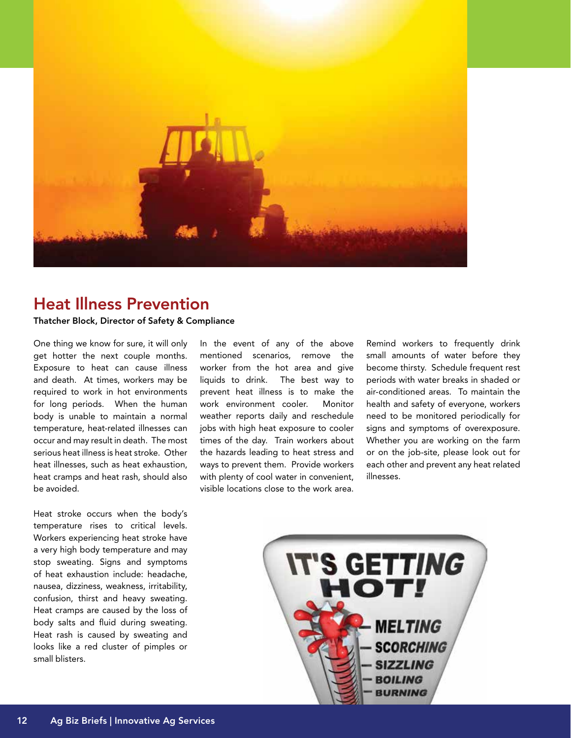

### Heat Illness Prevention

Thatcher Block, Director of Safety & Compliance

One thing we know for sure, it will only get hotter the next couple months. Exposure to heat can cause illness and death. At times, workers may be required to work in hot environments for long periods. When the human body is unable to maintain a normal temperature, heat-related illnesses can occur and may result in death. The most serious heat illness is heat stroke. Other heat illnesses, such as heat exhaustion, heat cramps and heat rash, should also be avoided.

Heat stroke occurs when the body's temperature rises to critical levels. Workers experiencing heat stroke have a very high body temperature and may stop sweating. Signs and symptoms of heat exhaustion include: headache, nausea, dizziness, weakness, irritability, confusion, thirst and heavy sweating. Heat cramps are caused by the loss of body salts and fluid during sweating. Heat rash is caused by sweating and looks like a red cluster of pimples or small blisters.

In the event of any of the above mentioned scenarios, remove the worker from the hot area and give liquids to drink. The best way to prevent heat illness is to make the work environment cooler. Monitor weather reports daily and reschedule jobs with high heat exposure to cooler times of the day. Train workers about the hazards leading to heat stress and ways to prevent them. Provide workers with plenty of cool water in convenient, visible locations close to the work area.

Remind workers to frequently drink small amounts of water before they become thirsty. Schedule frequent rest periods with water breaks in shaded or air-conditioned areas. To maintain the health and safety of everyone, workers need to be monitored periodically for signs and symptoms of overexposure. Whether you are working on the farm or on the job-site, please look out for each other and prevent any heat related illnesses.

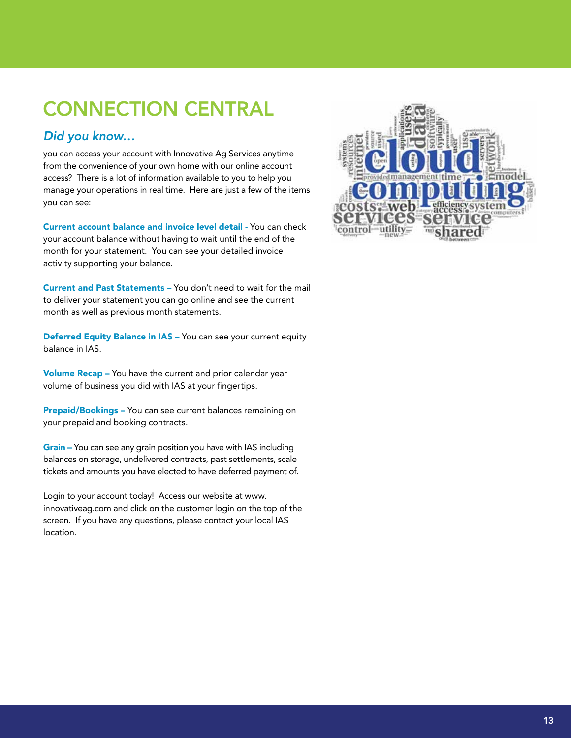# CONNECTION CENTRAL

#### *Did you know…*

you can access your account with Innovative Ag Services anytime from the convenience of your own home with our online account access? There is a lot of information available to you to help you manage your operations in real time. Here are just a few of the items you can see:

Current account balance and invoice level detail - You can check your account balance without having to wait until the end of the month for your statement. You can see your detailed invoice activity supporting your balance.

Current and Past Statements – You don't need to wait for the mail to deliver your statement you can go online and see the current month as well as previous month statements.

Deferred Equity Balance in IAS - You can see your current equity balance in IAS.

Volume Recap – You have the current and prior calendar year volume of business you did with IAS at your fingertips.

Prepaid/Bookings - You can see current balances remaining on your prepaid and booking contracts.

Grain – You can see any grain position you have with IAS including balances on storage, undelivered contracts, past settlements, scale tickets and amounts you have elected to have deferred payment of.

Login to your account today! Access our website at www. innovativeag.com and click on the customer login on the top of the screen. If you have any questions, please contact your local IAS location.

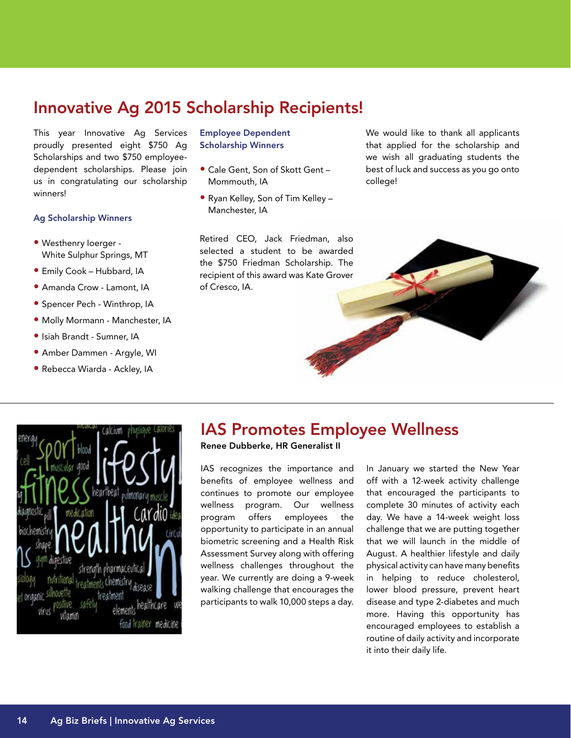### Innovative Ag 2015 Scholarship Recipients!

This year Innovative Ag Services proudly presented eight \$750 Ag Scholarships and two \$750 employeedependent scholarships. Please join us in congratulating our scholarship winners!

#### Ag Scholarship Winners

- Westhenry Ioerger White Sulphur Springs, MT
- Emily Cook Hubbard, IA
- Amanda Crow Lamont, IA
- Spencer Pech Winthrop, IA
- Molly Mormann Manchester, IA
- Isiah Brandt Sumner, IA
- Amber Dammen Argyle, WI
- Rebecca Wiarda Ackley, IA

#### Employee Dependent Scholarship Winners

- Cale Gent, Son of Skott Gent Mommouth, IA
- Ryan Kelley, Son of Tim Kelley Manchester, IA

Retired CEO, Jack Friedman, also selected a student to be awarded the \$750 Friedman Scholarship. The recipient of this award was Kate Grover of Cresco, IA.

We would like to thank all applicants that applied for the scholarship and we wish all graduating students the best of luck and success as you go onto college!





### IAS Promotes Employee Wellness

#### Renee Dubberke, HR Generalist II

IAS recognizes the importance and benefits of employee wellness and continues to promote our employee wellness program. Our wellness program offers employees the opportunity to participate in an annual biometric screening and a Health Risk Assessment Survey along with offering wellness challenges throughout the year. We currently are doing a 9-week walking challenge that encourages the participants to walk 10,000 steps a day.

In January we started the New Year off with a 12-week activity challenge that encouraged the participants to complete 30 minutes of activity each day. We have a 14-week weight loss challenge that we are putting together that we will launch in the middle of August. A healthier lifestyle and daily physical activity can have many benefits in helping to reduce cholesterol, lower blood pressure, prevent heart disease and type 2-diabetes and much more. Having this opportunity has encouraged employees to establish a routine of daily activity and incorporate it into their daily life.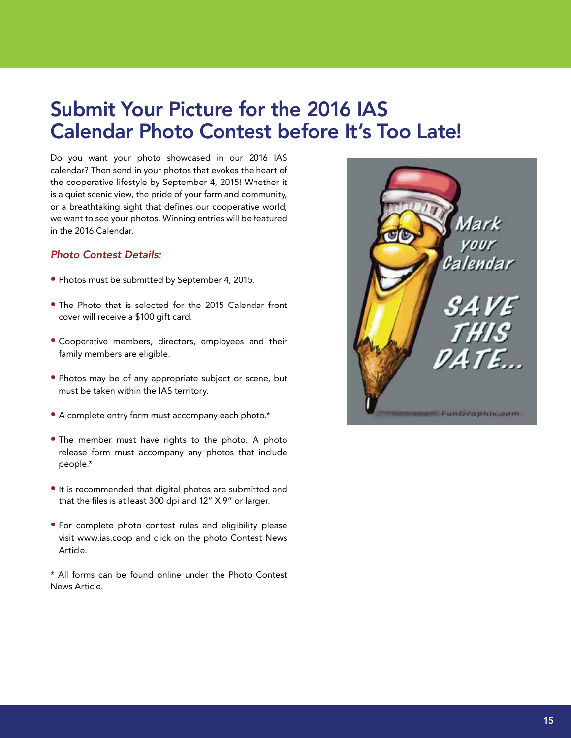## Submit Your Picture for the 2016 IAS Calendar Photo Contest before It's Too Late!

Do you want your photo showcased in our 2016 IAS calendar? Then send in your photos that evokes the heart of the cooperative lifestyle by September 4, 2015! Whether it is a quiet scenic view, the pride of your farm and community, or a breathtaking sight that defines our cooperative world, we want to see your photos. Winning entries will be featured in the 2016 Calendar.

#### *Photo Contest Details:*

- Photos must be submitted by September 4, 2015.
- The Photo that is selected for the 2015 Calendar front cover will receive a \$100 gift card.
- Cooperative members, directors, employees and their family members are eligible.
- Photos may be of any appropriate subject or scene, but must be taken within the IAS territory.
- A complete entry form must accompany each photo.\*
- The member must have rights to the photo. A photo release form must accompany any photos that include people.\*
- It is recommended that digital photos are submitted and that the files is at least 300 dpi and 12" X 9" or larger.
- For complete photo contest rules and eligibility please visit www.ias.coop and click on the photo Contest News Article.

\* All forms can be found online under the Photo Contest News Article.